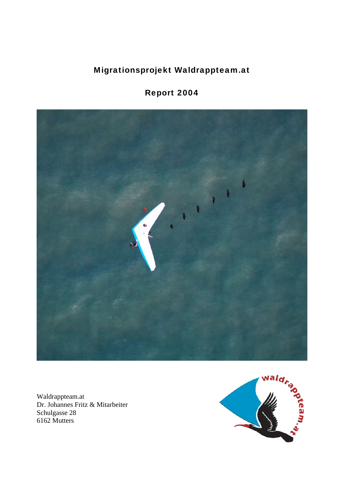## Migrationsprojekt Waldrappteam.at

# Report 2004



Waldrappteam.at Dr. Johannes Fritz & Mitarbeiter Schulgasse 28 6162 Mutters

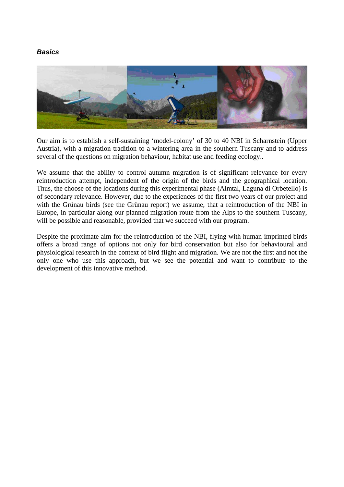#### *Basics*



Our aim is to establish a self-sustaining 'model-colony' of 30 to 40 NBI in Scharnstein (Upper Austria), with a migration tradition to a wintering area in the southern Tuscany and to address several of the questions on migration behaviour, habitat use and feeding ecology..

We assume that the ability to control autumn migration is of significant relevance for every reintroduction attempt, independent of the origin of the birds and the geographical location. Thus, the choose of the locations during this experimental phase (Almtal, Laguna di Orbetello) is of secondary relevance. However, due to the experiences of the first two years of our project and with the Grünau birds (see the Grünau report) we assume, that a reintroduction of the NBI in Europe, in particular along our planned migration route from the Alps to the southern Tuscany, will be possible and reasonable, provided that we succeed with our program.

Despite the proximate aim for the reintroduction of the NBI, flying with human-imprinted birds offers a broad range of options not only for bird conservation but also for behavioural and physiological research in the context of bird flight and migration. We are not the first and not the only one who use this approach, but we see the potential and want to contribute to the development of this innovative method.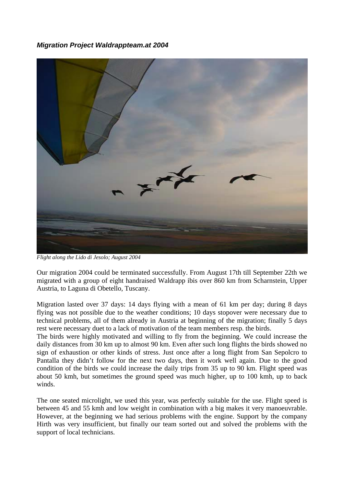#### *Migration Project Waldrappteam.at 2004*



*Flight along the Lido di Jesolo; August 2004* 

Our migration 2004 could be terminated successfully. From August 17th till September 22th we migrated with a group of eight handraised Waldrapp ibis over 860 km from Scharnstein, Upper Austria, to Laguna di Obetello, Tuscany.

Migration lasted over 37 days: 14 days flying with a mean of 61 km per day; during 8 days flying was not possible due to the weather conditions; 10 days stopover were necessary due to technical problems, all of them already in Austria at beginning of the migration; finally 5 days rest were necessary duet to a lack of motivation of the team members resp. the birds.

The birds were highly motivated and willing to fly from the beginning. We could increase the daily distances from 30 km up to almost 90 km. Even after such long flights the birds showed no sign of exhaustion or other kinds of stress. Just once after a long flight from San Sepolcro to Pantalla they didn't follow for the next two days, then it work well again. Due to the good condition of the birds we could increase the daily trips from 35 up to 90 km. Flight speed was about 50 kmh, but sometimes the ground speed was much higher, up to 100 kmh, up to back winds.

The one seated microlight, we used this year, was perfectly suitable for the use. Flight speed is between 45 and 55 kmh and low weight in combination with a big makes it very manoeuvrable. However, at the beginning we had serious problems with the engine. Support by the company Hirth was very insufficient, but finally our team sorted out and solved the problems with the support of local technicians.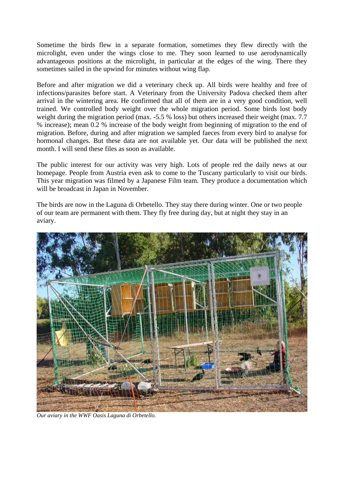Sometime the birds flew in a separate formation, sometimes they flew directly with the microlight, even under the wings close to me. They soon learned to use aerodynamically advantageous positions at the microlight, in particular at the edges of the wing. There they sometimes sailed in the upwind for minutes without wing flap.

Before and after migration we did a veterinary check up. All birds were healthy and free of infections/parasites before start. A Veterinary from the University Padova checked them after arrival in the wintering area. He confirmed that all of them are in a very good condition, well trained. We controlled body weight over the whole migration period. Some birds lost body weight during the migration period (max. -5.5 % loss) but others increased their weight (max. 7.7 % increase); mean 0.2 % increase of the body weight from beginning of migration to the end of migration. Before, during and after migration we sampled faeces from every bird to analyse for hormonal changes. But these data are not available yet. Our data will be published the next month. I will send these files as soon as available.

The public interest for our activity was very high. Lots of people red the daily news at our homepage. People from Austria even ask to come to the Tuscany particularly to visit our birds. This year migration was filmed by a Japanese Film team. They produce a documentation which will be broadcast in Japan in November.

The birds are now in the Laguna di Orbetello. They stay there during winter. One or two people of our team are permanent with them. They fly free during day, but at night they stay in an aviary.



*Our aviary in the WWF Oasis Laguna di Orbetello.*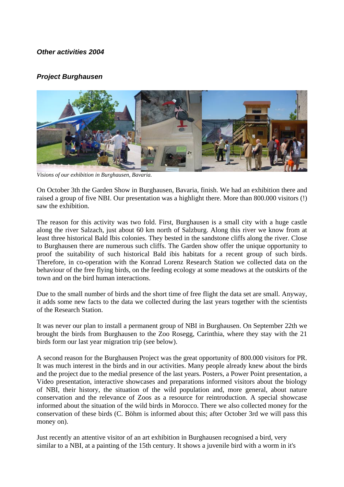#### *Other activities 2004*

#### *Project Burghausen*



*Visions of our exhibition in Burghausen, Bavaria.* 

On October 3th the Garden Show in Burghausen, Bavaria, finish. We had an exhibition there and raised a group of five NBI. Our presentation was a highlight there. More than 800.000 visitors (!) saw the exhibition.

The reason for this activity was two fold. First, Burghausen is a small city with a huge castle along the river Salzach, just about 60 km north of Salzburg. Along this river we know from at least three historical Bald Ibis colonies. They bested in the sandstone cliffs along the river. Close to Burghausen there are numerous such cliffs. The Garden show offer the unique opportunity to proof the suitability of such historical Bald ibis habitats for a recent group of such birds. Therefore, in co-operation with the Konrad Lorenz Research Station we collected data on the behaviour of the free flying birds, on the feeding ecology at some meadows at the outskirts of the town and on the bird human interactions.

Due to the small number of birds and the short time of free flight the data set are small. Anyway, it adds some new facts to the data we collected during the last years together with the scientists of the Research Station.

It was never our plan to install a permanent group of NBI in Burghausen. On September 22th we brought the birds from Burghausen to the Zoo Rosegg, Carinthia, where they stay with the 21 birds form our last year migration trip (see below).

A second reason for the Burghausen Project was the great opportunity of 800.000 visitors for PR. It was much interest in the birds and in our activities. Many people already knew about the birds and the project due to the medial presence of the last years. Posters, a Power Point presentation, a Video presentation, interactive showcases and preparations informed visitors about the biology of NBI, their history, the situation of the wild population and, more general, about nature conservation and the relevance of Zoos as a resource for reintroduction. A special showcase informed about the situation of the wild birds in Morocco. There we also collected money for the conservation of these birds (C. Böhm is informed about this; after October 3rd we will pass this money on).

Just recently an attentive visitor of an art exhibition in Burghausen recognised a bird, very similar to a NBI, at a painting of the 15th century. It shows a juvenile bird with a worm in it's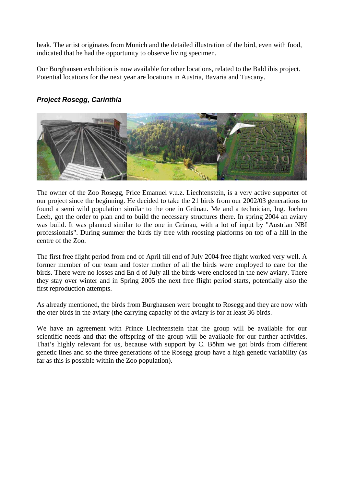beak. The artist originates from Munich and the detailed illustration of the bird, even with food, indicated that he had the opportunity to observe living specimen.

Our Burghausen exhibition is now available for other locations, related to the Bald ibis project. Potential locations for the next year are locations in Austria, Bavaria and Tuscany.



### *Project Rosegg, Carinthia*

The owner of the Zoo Rosegg, Price Emanuel v.u.z. Liechtenstein, is a very active supporter of our project since the beginning. He decided to take the 21 birds from our 2002/03 generations to found a semi wild population similar to the one in Grünau. Me and a technician, Ing. Jochen Leeb, got the order to plan and to build the necessary structures there. In spring 2004 an aviary was build. It was planned similar to the one in Grünau, with a lot of input by "Austrian NBI professionals". During summer the birds fly free with roosting platforms on top of a hill in the centre of the Zoo.

The first free flight period from end of April till end of July 2004 free flight worked very well. A former member of our team and foster mother of all the birds were employed to care for the birds. There were no losses and En d of July all the birds were enclosed in the new aviary. There they stay over winter and in Spring 2005 the next free flight period starts, potentially also the first reproduction attempts.

As already mentioned, the birds from Burghausen were brought to Rosegg and they are now with the oter birds in the aviary (the carrying capacity of the aviary is for at least 36 birds.

We have an agreement with Prince Liechtenstein that the group will be available for our scientific needs and that the offspring of the group will be available for our further activities. That's highly relevant for us, because with support by C. Böhm we got birds from different genetic lines and so the three generations of the Rosegg group have a high genetic variability (as far as this is possible within the Zoo population).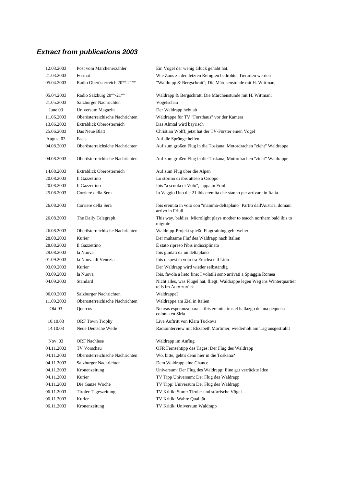### *Extract from publications 2003*

| 12.03.2003 | Post vom Märchenerzähler        | Ein Vogel der wenig Glück gehabt hat.                                                               |
|------------|---------------------------------|-----------------------------------------------------------------------------------------------------|
| 21.03.2003 | Format                          | Wie Zoos zu den letzten Refugien bedrohter Tierarten werden                                         |
| 05.04.2003 | Radio Oberösterreich 20°°-21°°  | "Waldrapp & Bergschratt"; Die Märchenstunde mit H. Wittman;                                         |
| 05.04.2003 | Radio Salzburg 20°°-21°°        | Waldrapp & Bergschratt; Die Märchenstunde mit H. Wittman;                                           |
| 21.05.2003 | Salzburger Nachrichten          | Vogelschau                                                                                          |
| June 03    | Universum Magazin               | Der Waldrapp hebt ab                                                                                |
| 11.06.2003 | Oberösterreichische Nachrichten | Waldrappe für TV "Forsthaus" vor der Kamera                                                         |
| 13.06.2003 | Extrablick Oberösterreich       | Das Almtal wird bayrisch                                                                            |
| 25.06.2003 | Das Neue Blatt                  | Christian Wolff; jetzt hat der TV-Förster einen Vogel                                               |
| August 03  | Facts                           | Auf die Sprünge helfen                                                                              |
| 04.08.2003 | Öberösterreichsiche Nachrichten | Auf zum großen Flug in die Toskana; Motordrachen "zieht" Waldrappe                                  |
| 04.08.2003 | Oberösterreichische Nachrichten | Auf zum großen Flug in die Toskana; Motordrachen "zieht" Waldrappe                                  |
| 14.08.2003 | Extrablick Oberösterreich       | Auf zum Flug über die Alpen                                                                         |
| 20.08.2003 | Il Gazzettino                   | Lo stormo di ibis atteso a Osoppo                                                                   |
| 20.08.2003 | Il Gazzettino                   | Ibis "a scuola di Volo", tappa in Friuli                                                            |
| 25.08.2003 | Corriere della Sera             | In Vaggio Uno die 21 ibis eremita che stanno per arrivare in Italia                                 |
| 26.08.2003 | Corriere della Sera             | Ibis eremita in volo con "mamma-deltaplano" Partiti dall'Austria, domani<br>arrivo in Friuli        |
| 26.08.2003 | The Daily Telegraph             | This way, baldies; Microlight plays mother to teacch northern bald ibis to<br>migrate               |
| 26.08.2003 | Oberösterreichische Nachrichten | Waldrapp-Projekt spießt, Flugtraining geht weiter                                                   |
| 28.08.2003 | Kurier                          | Der mühsame Fluf des Waldrapp nach Italien                                                          |
| 28.08.2003 | Il Gazzettino                   | É stato ripreso l'ibis indisciplinato                                                               |
| 29.08.2003 | la Nuova                        | Ibis guidati da un deltaplano                                                                       |
| 01.09.2003 | la Nuova di Venezia             | Ibis dispesi in volo tra Eraclea e il Lido                                                          |
| 03.09.2003 | Kurier                          | Der Waldrapp wird wieder selbständig                                                                |
| 03.09.2003 | la Nuova                        | Ibis, favola a lieto fine; I volatili sono arrivati a Spiaggia Romea                                |
| 04.09.2003 | Standard                        | Nicht alles, was Flügel hat, fliegt; Waldrappe legen Weg ins Winterquartier<br>teils im Auto zurück |
| 06.09.2003 | Salzburger Nachrichten          | Waldrappe?                                                                                          |
| 11.09.2003 | Oberösterreichische Nachrichten | Waldrappe am Ziel in Italien                                                                        |
| Okt.03     | Quercus                         | Neuvas esperanza para el ibis eremita tras el hallazgo de una pequena<br>colonia en Siria           |
| 10.10.03   | <b>ORF</b> Town Trophy          | Live Auftritt von Klara Tuckova                                                                     |
| 14.10.03   | Neue Deutsche Welle             | Radiointerview mit Elizabeth Mortimer; wiederholt am Tag ausgestrahlt                               |
| Nov. 03    | <b>ORF</b> Nachlese             | Waldrapp im Anflug                                                                                  |
| 04.11.2003 | TV Vorschau                     | OFR Fernsehtipp des Tages: Der Flug des Waldrapp                                                    |
| 04.11.2003 | Oberösterreichische Nachrichten | Wo, bitte, geht's denn hier in die Toskana?                                                         |
| 04.11.2003 | Salzburger Nachrichten          | Dem Waldrapp eine Chance                                                                            |
| 04.11.2003 | Kronenzeitung                   | Universum: Der Flug des Waldrapp; Eine gar verrückte Idee                                           |
| 04.11.2003 | Kurier                          | TV Tipp Universum: Der Flug des Waldrapp                                                            |
| 04.11.2003 | Die Ganze Woche                 | TV Tipp: Universum Der Flug des Waldrapp                                                            |
| 06.11.2003 | <b>Tiroler Tageszeitung</b>     | TV Kritik: Sturer Tiroler und störrische Vögel                                                      |
| 06.11.2003 | Kurier                          | TV Kritik: Wahre Qualität                                                                           |
| 06.11.2003 | Kronenzeitung                   | TV Kritik: Universum Waldrapp                                                                       |